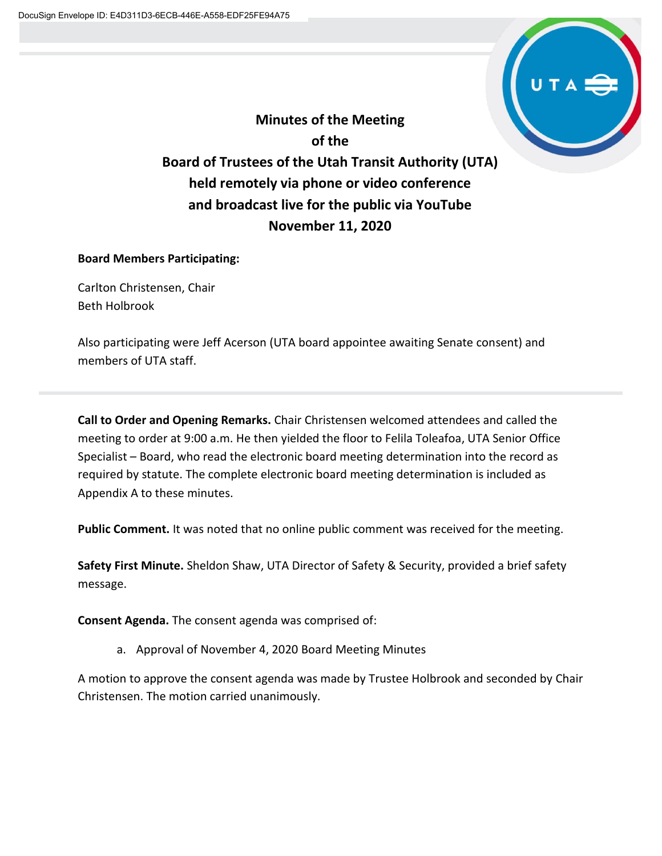

**Minutes of the Meeting of the Board of Trustees of the Utah Transit Authority (UTA) held remotely via phone or video conference and broadcast live for the public via YouTube November 11, 2020**

## **Board Members Participating:**

Carlton Christensen, Chair Beth Holbrook

Also participating were Jeff Acerson (UTA board appointee awaiting Senate consent) and members of UTA staff.

**Call to Order and Opening Remarks.** Chair Christensen welcomed attendees and called the meeting to order at 9:00 a.m. He then yielded the floor to Felila Toleafoa, UTA Senior Office Specialist – Board, who read the electronic board meeting determination into the record as required by statute. The complete electronic board meeting determination is included as Appendix A to these minutes.

**Public Comment.** It was noted that no online public comment was received for the meeting.

**Safety First Minute.** Sheldon Shaw, UTA Director of Safety & Security, provided a brief safety message.

**Consent Agenda.** The consent agenda was comprised of:

a. Approval of November 4, 2020 Board Meeting Minutes

A motion to approve the consent agenda was made by Trustee Holbrook and seconded by Chair Christensen. The motion carried unanimously.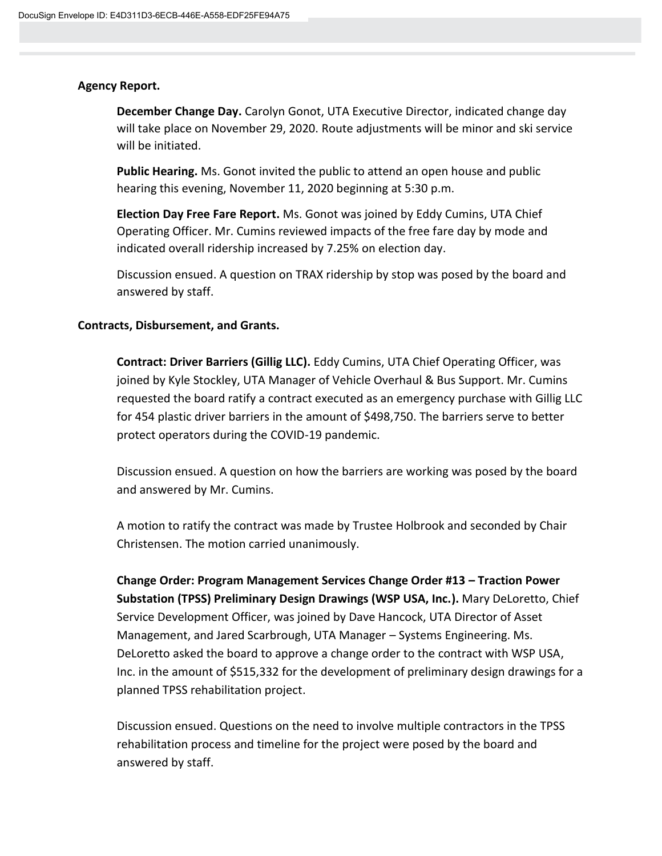### **Agency Report.**

**December Change Day.** Carolyn Gonot, UTA Executive Director, indicated change day will take place on November 29, 2020. Route adjustments will be minor and ski service will be initiated.

**Public Hearing.** Ms. Gonot invited the public to attend an open house and public hearing this evening, November 11, 2020 beginning at 5:30 p.m.

**Election Day Free Fare Report.** Ms. Gonot was joined by Eddy Cumins, UTA Chief Operating Officer. Mr. Cumins reviewed impacts of the free fare day by mode and indicated overall ridership increased by 7.25% on election day.

Discussion ensued. A question on TRAX ridership by stop was posed by the board and answered by staff.

#### **Contracts, Disbursement, and Grants.**

**Contract: Driver Barriers (Gillig LLC).** Eddy Cumins, UTA Chief Operating Officer, was joined by Kyle Stockley, UTA Manager of Vehicle Overhaul & Bus Support. Mr. Cumins requested the board ratify a contract executed as an emergency purchase with Gillig LLC for 454 plastic driver barriers in the amount of \$498,750. The barriers serve to better protect operators during the COVID-19 pandemic.

Discussion ensued. A question on how the barriers are working was posed by the board and answered by Mr. Cumins.

A motion to ratify the contract was made by Trustee Holbrook and seconded by Chair Christensen. The motion carried unanimously.

**Change Order: Program Management Services Change Order #13 – Traction Power Substation (TPSS) Preliminary Design Drawings (WSP USA, Inc.).** Mary DeLoretto, Chief Service Development Officer, was joined by Dave Hancock, UTA Director of Asset Management, and Jared Scarbrough, UTA Manager – Systems Engineering. Ms. DeLoretto asked the board to approve a change order to the contract with WSP USA, Inc. in the amount of \$515,332 for the development of preliminary design drawings for a planned TPSS rehabilitation project.

Discussion ensued. Questions on the need to involve multiple contractors in the TPSS rehabilitation process and timeline for the project were posed by the board and answered by staff.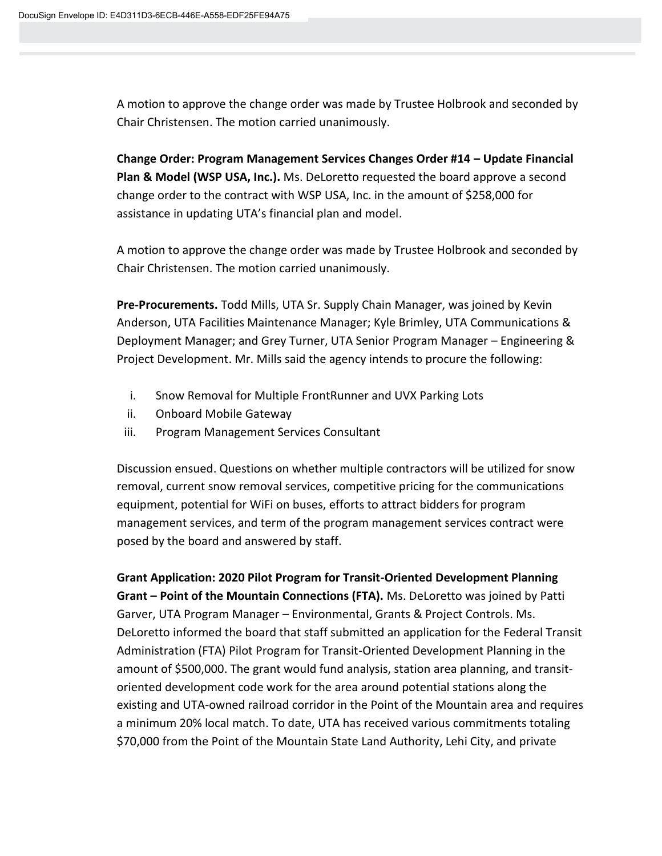A motion to approve the change order was made by Trustee Holbrook and seconded by Chair Christensen. The motion carried unanimously.

**Change Order: Program Management Services Changes Order #14 – Update Financial Plan & Model (WSP USA, Inc.).** Ms. DeLoretto requested the board approve a second change order to the contract with WSP USA, Inc. in the amount of \$258,000 for assistance in updating UTA's financial plan and model.

A motion to approve the change order was made by Trustee Holbrook and seconded by Chair Christensen. The motion carried unanimously.

**Pre-Procurements.** Todd Mills, UTA Sr. Supply Chain Manager, was joined by Kevin Anderson, UTA Facilities Maintenance Manager; Kyle Brimley, UTA Communications & Deployment Manager; and Grey Turner, UTA Senior Program Manager – Engineering & Project Development. Mr. Mills said the agency intends to procure the following:

- i. Snow Removal for Multiple FrontRunner and UVX Parking Lots
- ii. Onboard Mobile Gateway
- iii. Program Management Services Consultant

Discussion ensued. Questions on whether multiple contractors will be utilized for snow removal, current snow removal services, competitive pricing for the communications equipment, potential for WiFi on buses, efforts to attract bidders for program management services, and term of the program management services contract were posed by the board and answered by staff.

**Grant Application: 2020 Pilot Program for Transit-Oriented Development Planning Grant – Point of the Mountain Connections (FTA).** Ms. DeLoretto was joined by Patti Garver, UTA Program Manager – Environmental, Grants & Project Controls. Ms. DeLoretto informed the board that staff submitted an application for the Federal Transit Administration (FTA) Pilot Program for Transit-Oriented Development Planning in the amount of \$500,000. The grant would fund analysis, station area planning, and transitoriented development code work for the area around potential stations along the existing and UTA-owned railroad corridor in the Point of the Mountain area and requires a minimum 20% local match. To date, UTA has received various commitments totaling \$70,000 from the Point of the Mountain State Land Authority, Lehi City, and private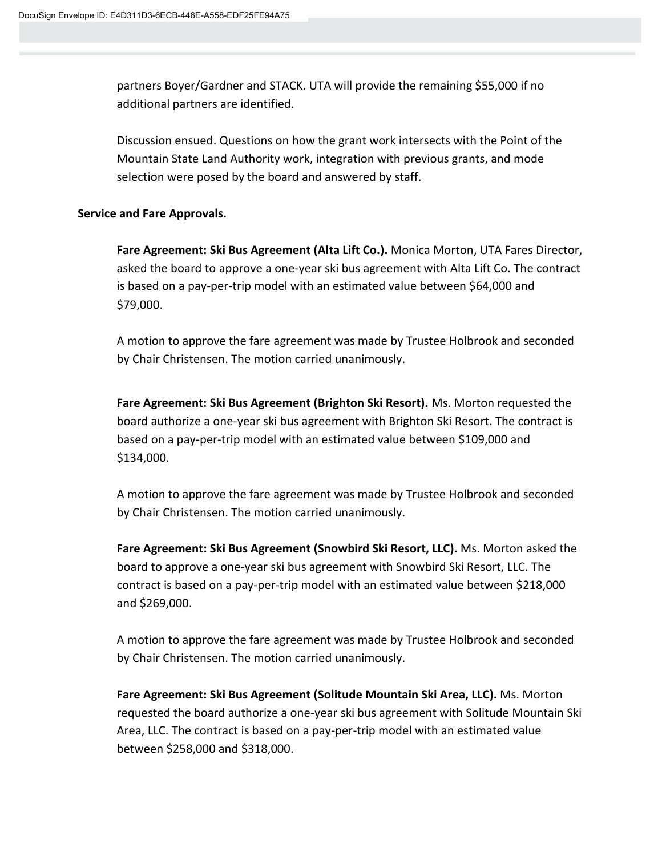partners Boyer/Gardner and STACK. UTA will provide the remaining \$55,000 if no additional partners are identified.

Discussion ensued. Questions on how the grant work intersects with the Point of the Mountain State Land Authority work, integration with previous grants, and mode selection were posed by the board and answered by staff.

### **Service and Fare Approvals.**

**Fare Agreement: Ski Bus Agreement (Alta Lift Co.).** Monica Morton, UTA Fares Director, asked the board to approve a one-year ski bus agreement with Alta Lift Co. The contract is based on a pay-per-trip model with an estimated value between \$64,000 and \$79,000.

A motion to approve the fare agreement was made by Trustee Holbrook and seconded by Chair Christensen. The motion carried unanimously.

**Fare Agreement: Ski Bus Agreement (Brighton Ski Resort).** Ms. Morton requested the board authorize a one-year ski bus agreement with Brighton Ski Resort. The contract is based on a pay-per-trip model with an estimated value between \$109,000 and \$134,000.

A motion to approve the fare agreement was made by Trustee Holbrook and seconded by Chair Christensen. The motion carried unanimously.

**Fare Agreement: Ski Bus Agreement (Snowbird Ski Resort, LLC).** Ms. Morton asked the board to approve a one-year ski bus agreement with Snowbird Ski Resort, LLC. The contract is based on a pay-per-trip model with an estimated value between \$218,000 and \$269,000.

A motion to approve the fare agreement was made by Trustee Holbrook and seconded by Chair Christensen. The motion carried unanimously.

**Fare Agreement: Ski Bus Agreement (Solitude Mountain Ski Area, LLC).** Ms. Morton requested the board authorize a one-year ski bus agreement with Solitude Mountain Ski Area, LLC. The contract is based on a pay-per-trip model with an estimated value between \$258,000 and \$318,000.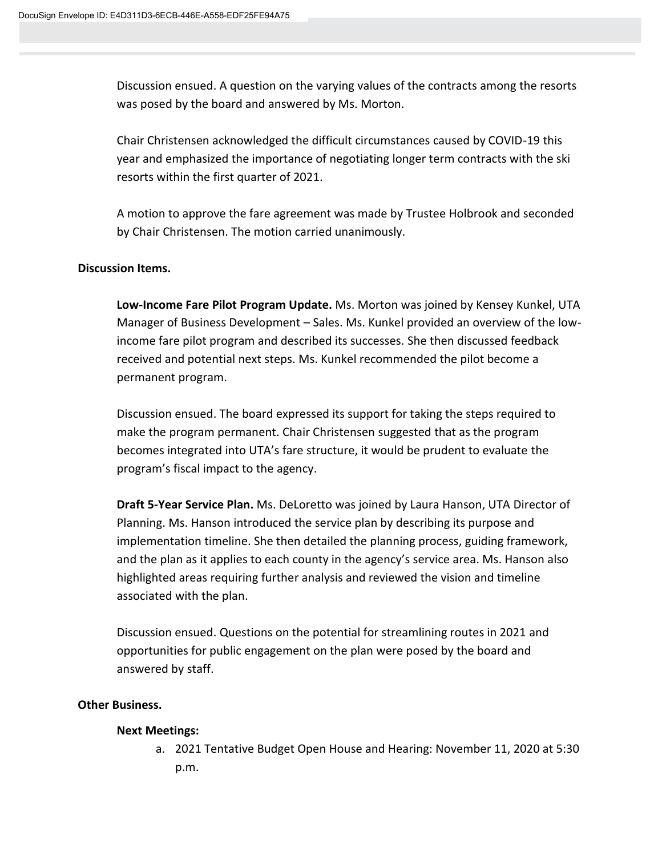Discussion ensued. A question on the varying values of the contracts among the resorts was posed by the board and answered by Ms. Morton.

Chair Christensen acknowledged the difficult circumstances caused by COVID-19 this year and emphasized the importance of negotiating longer term contracts with the ski resorts within the first quarter of 2021.

A motion to approve the fare agreement was made by Trustee Holbrook and seconded by Chair Christensen. The motion carried unanimously.

## **Discussion Items.**

**Low-Income Fare Pilot Program Update.** Ms. Morton was joined by Kensey Kunkel, UTA Manager of Business Development – Sales. Ms. Kunkel provided an overview of the lowincome fare pilot program and described its successes. She then discussed feedback received and potential next steps. Ms. Kunkel recommended the pilot become a permanent program.

Discussion ensued. The board expressed its support for taking the steps required to make the program permanent. Chair Christensen suggested that as the program becomes integrated into UTA's fare structure, it would be prudent to evaluate the program's fiscal impact to the agency.

**Draft 5-Year Service Plan.** Ms. DeLoretto was joined by Laura Hanson, UTA Director of Planning. Ms. Hanson introduced the service plan by describing its purpose and implementation timeline. She then detailed the planning process, guiding framework, and the plan as it applies to each county in the agency's service area. Ms. Hanson also highlighted areas requiring further analysis and reviewed the vision and timeline associated with the plan.

Discussion ensued. Questions on the potential for streamlining routes in 2021 and opportunities for public engagement on the plan were posed by the board and answered by staff.

## **Other Business.**

## **Next Meetings:**

a. 2021 Tentative Budget Open House and Hearing: November 11, 2020 at 5:30 p.m.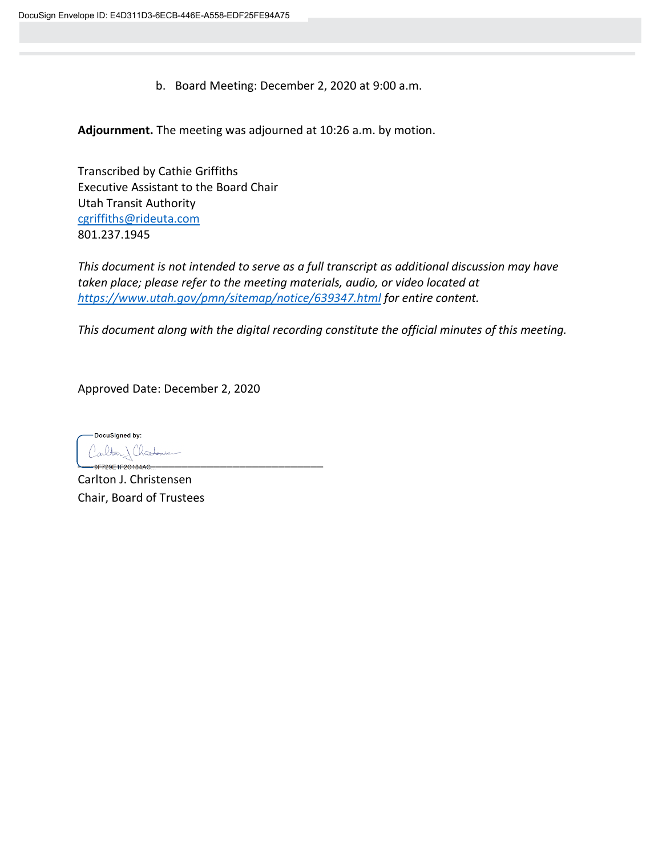b. Board Meeting: December 2, 2020 at 9:00 a.m.

**Adjournment.** The meeting was adjourned at 10:26 a.m. by motion.

Transcribed by Cathie Griffiths Executive Assistant to the Board Chair Utah Transit Authority [cgriffiths@rideuta.com](mailto:cgriffiths@rideuta.com) 801.237.1945

*This document is not intended to serve as a full transcript as additional discussion may have taken place; please refer to the meeting materials, audio, or video located at <https://www.utah.gov/pmn/sitemap/notice/639347.html> for entire content.*

*This document along with the digital recording constitute the official minutes of this meeting.*

Approved Date: December 2, 2020

DocuSianed by:  $\begin{array}{c} \n\hline\n\end{array}$ 

Carlton J. Christensen Chair, Board of Trustees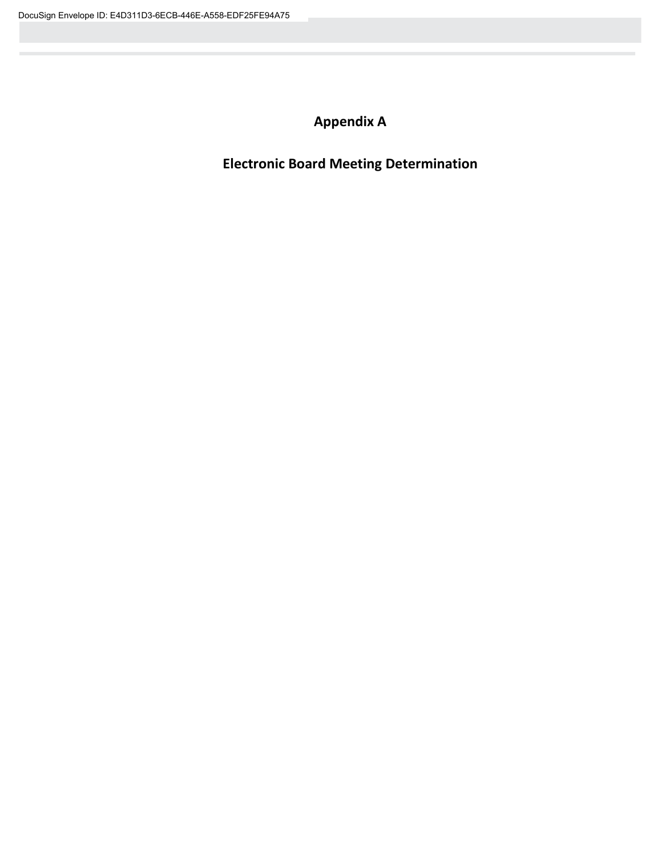# **Appendix A**

**Electronic Board Meeting Determination**